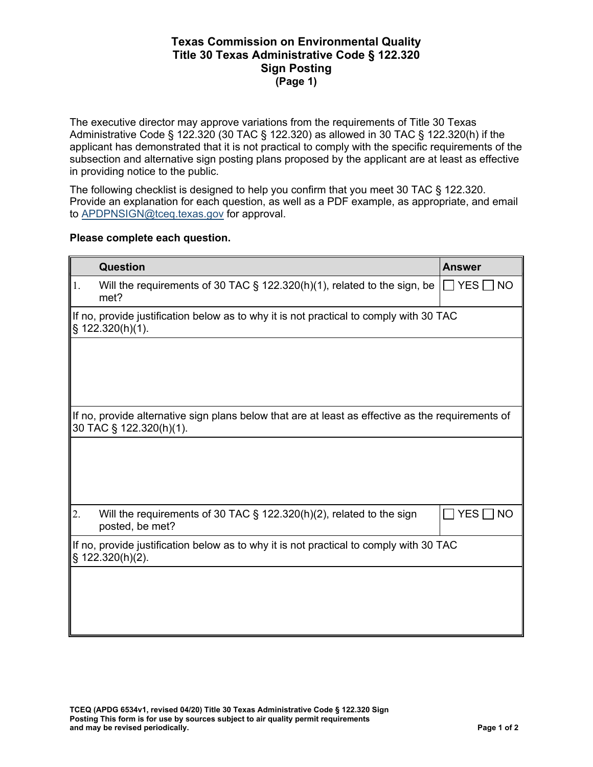## **Texas Commission on Environmental Quality Title 30 Texas Administrative Code § 122.320 Sign Posting (Page 1)**

The executive director may approve variations from the requirements of Title 30 Texas Administrative Code § 122.320 (30 TAC § 122.320) as allowed in 30 TAC § 122.320(h) if the applicant has demonstrated that it is not practical to comply with the specific requirements of the subsection and alternative sign posting plans proposed by the applicant are at least as effective in providing notice to the public.

The following checklist is designed to help you confirm that you meet 30 TAC § 122.320. Provide an explanation for each question, as well as a PDF example, as appropriate, and email t[o APDPNSIGN@tceq.texas.gov](mailto:APDPNSIGN@tceq.texas.gov) for approval.

## **Please complete each question.**

|                                                                                                                              | Question                                                                                                   | <b>Answer</b>                  |  |
|------------------------------------------------------------------------------------------------------------------------------|------------------------------------------------------------------------------------------------------------|--------------------------------|--|
| 1.                                                                                                                           | Will the requirements of 30 TAC § 122.320(h)(1), related to the sign, be<br>met?                           | $\Box$ YES $\Box$<br><b>NO</b> |  |
|                                                                                                                              | If no, provide justification below as to why it is not practical to comply with 30 TAC<br>§ 122.320(h)(1). |                                |  |
|                                                                                                                              |                                                                                                            |                                |  |
|                                                                                                                              |                                                                                                            |                                |  |
|                                                                                                                              |                                                                                                            |                                |  |
| If no, provide alternative sign plans below that are at least as effective as the requirements of<br>30 TAC § 122.320(h)(1). |                                                                                                            |                                |  |
|                                                                                                                              |                                                                                                            |                                |  |
|                                                                                                                              |                                                                                                            |                                |  |
|                                                                                                                              |                                                                                                            |                                |  |
|                                                                                                                              |                                                                                                            |                                |  |
| 2.                                                                                                                           | Will the requirements of 30 TAC $\S$ 122.320(h)(2), related to the sign<br>posted, be met?                 | $YES \Box NO$                  |  |
|                                                                                                                              | If no, provide justification below as to why it is not practical to comply with 30 TAC<br>§ 122.320(h)(2). |                                |  |
|                                                                                                                              |                                                                                                            |                                |  |
|                                                                                                                              |                                                                                                            |                                |  |
|                                                                                                                              |                                                                                                            |                                |  |
|                                                                                                                              |                                                                                                            |                                |  |